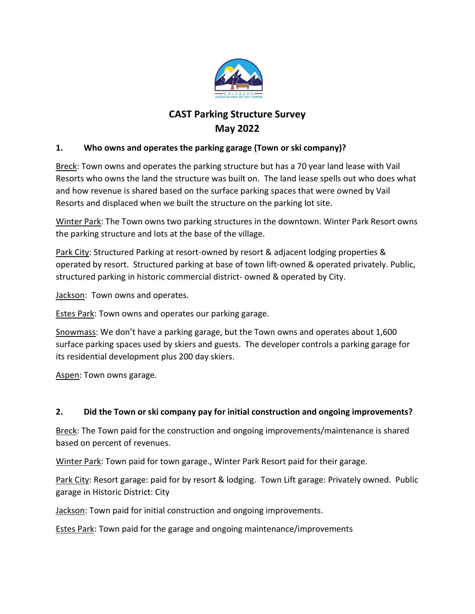

# CAST Parking Structure Survey May 2022

#### 1. Who owns and operates the parking garage (Town or ski company)?

Breck: Town owns and operates the parking structure but has a 70 year land lease with Vail Resorts who owns the land the structure was built on. The land lease spells out who does what and how revenue is shared based on the surface parking spaces that were owned by Vail Resorts and displaced when we built the structure on the parking lot site.

Winter Park: The Town owns two parking structures in the downtown. Winter Park Resort owns the parking structure and lots at the base of the village.

Park City: Structured Parking at resort-owned by resort & adjacent lodging properties & operated by resort. Structured parking at base of town lift-owned & operated privately. Public, structured parking in historic commercial district- owned & operated by City.

Jackson: Town owns and operates.

**Estes Park: Town owns and operates our parking garage.** 

Snowmass: We don't have a parking garage, but the Town owns and operates about 1,600 surface parking spaces used by skiers and guests. The developer controls a parking garage for its residential development plus 200 day skiers.

Aspen: Town owns garage.

#### 2. Did the Town or ski company pay for initial construction and ongoing improvements?

Breck: The Town paid for the construction and ongoing improvements/maintenance is shared based on percent of revenues.

Winter Park: Town paid for town garage., Winter Park Resort paid for their garage.

Park City: Resort garage: paid for by resort & lodging. Town Lift garage: Privately owned. Public garage in Historic District: City

**Jackson:** Town paid for initial construction and ongoing improvements.

Estes Park: Town paid for the garage and ongoing maintenance/improvements